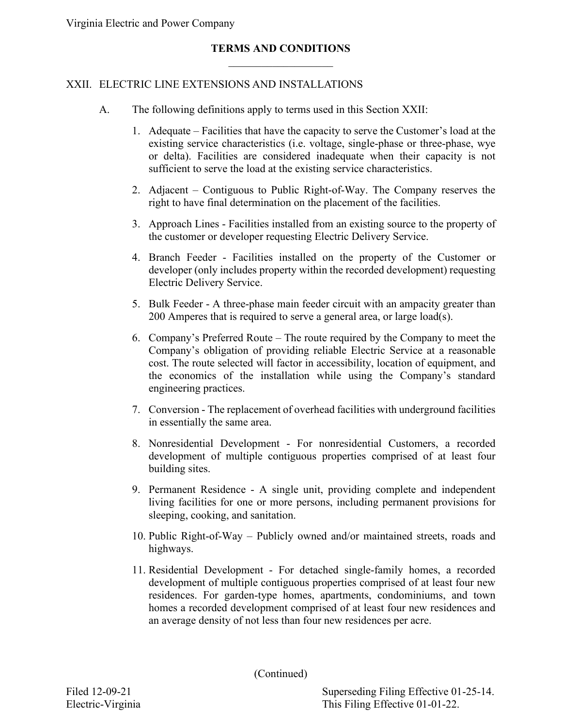Virginia Electric and Power Company

### **TERMS AND CONDITIONS**  $\mathcal{L}_\text{max}$  , where  $\mathcal{L}_\text{max}$

#### XXII. ELECTRIC LINE EXTENSIONS AND INSTALLATIONS

- A. The following definitions apply to terms used in this Section XXII:
	- 1. Adequate Facilities that have the capacity to serve the Customer's load at the existing service characteristics (i.e. voltage, single-phase or three-phase, wye or delta). Facilities are considered inadequate when their capacity is not sufficient to serve the load at the existing service characteristics.
	- 2. Adjacent Contiguous to Public Right-of-Way. The Company reserves the right to have final determination on the placement of the facilities.
	- 3. Approach Lines Facilities installed from an existing source to the property of the customer or developer requesting Electric Delivery Service.
	- 4. Branch Feeder Facilities installed on the property of the Customer or developer (only includes property within the recorded development) requesting Electric Delivery Service.
	- 5. Bulk Feeder A three-phase main feeder circuit with an ampacity greater than 200 Amperes that is required to serve a general area, or large load(s).
	- 6. Company's Preferred Route The route required by the Company to meet the Company's obligation of providing reliable Electric Service at a reasonable cost. The route selected will factor in accessibility, location of equipment, and the economics of the installation while using the Company's standard engineering practices.
	- 7. Conversion The replacement of overhead facilities with underground facilities in essentially the same area.
	- 8. Nonresidential Development For nonresidential Customers, a recorded development of multiple contiguous properties comprised of at least four building sites.
	- 9. Permanent Residence A single unit, providing complete and independent living facilities for one or more persons, including permanent provisions for sleeping, cooking, and sanitation.
	- 10. Public Right-of-Way Publicly owned and/or maintained streets, roads and highways.
	- 11. Residential Development For detached single-family homes, a recorded development of multiple contiguous properties comprised of at least four new residences. For garden-type homes, apartments, condominiums, and town homes a recorded development comprised of at least four new residences and an average density of not less than four new residences per acre.

(Continued)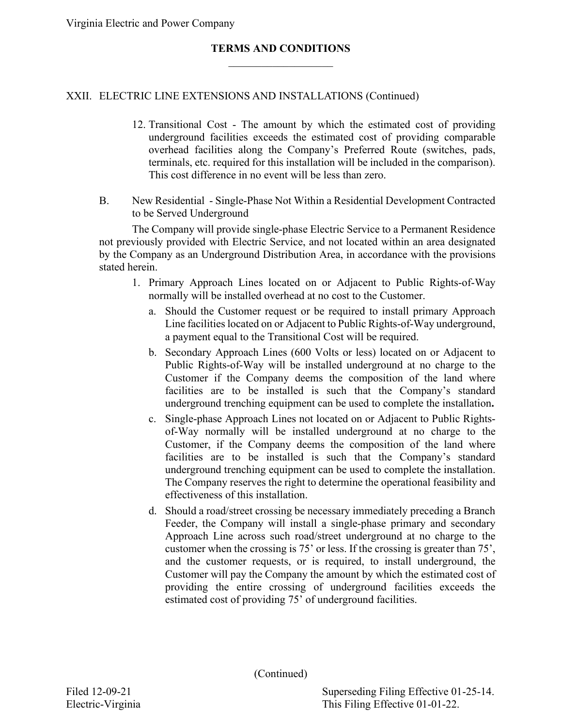### XXII. ELECTRIC LINE EXTENSIONS AND INSTALLATIONS (Continued)

- 12. Transitional Cost The amount by which the estimated cost of providing underground facilities exceeds the estimated cost of providing comparable overhead facilities along the Company's Preferred Route (switches, pads, terminals, etc. required for this installation will be included in the comparison). This cost difference in no event will be less than zero.
- B. New Residential Single-Phase Not Within a Residential Development Contracted to be Served Underground

The Company will provide single-phase Electric Service to a Permanent Residence not previously provided with Electric Service, and not located within an area designated by the Company as an Underground Distribution Area, in accordance with the provisions stated herein.

- 1. Primary Approach Lines located on or Adjacent to Public Rights-of-Way normally will be installed overhead at no cost to the Customer.
	- a. Should the Customer request or be required to install primary Approach Line facilities located on or Adjacent to Public Rights-of-Way underground, a payment equal to the Transitional Cost will be required.
	- b. Secondary Approach Lines (600 Volts or less) located on or Adjacent to Public Rights-of-Way will be installed underground at no charge to the Customer if the Company deems the composition of the land where facilities are to be installed is such that the Company's standard underground trenching equipment can be used to complete the installation**.**
	- c. Single-phase Approach Lines not located on or Adjacent to Public Rightsof-Way normally will be installed underground at no charge to the Customer, if the Company deems the composition of the land where facilities are to be installed is such that the Company's standard underground trenching equipment can be used to complete the installation. The Company reserves the right to determine the operational feasibility and effectiveness of this installation.
	- d. Should a road/street crossing be necessary immediately preceding a Branch Feeder, the Company will install a single-phase primary and secondary Approach Line across such road/street underground at no charge to the customer when the crossing is 75' or less. If the crossing is greater than 75', and the customer requests, or is required, to install underground, the Customer will pay the Company the amount by which the estimated cost of providing the entire crossing of underground facilities exceeds the estimated cost of providing 75' of underground facilities.

(Continued)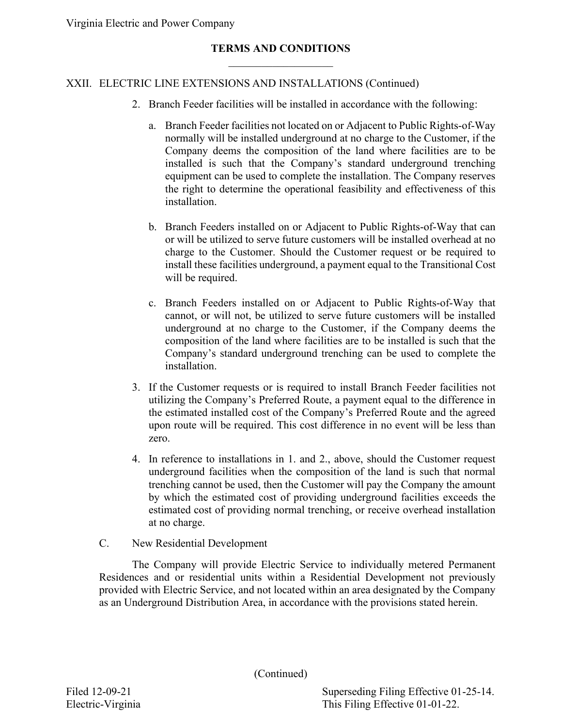Virginia Electric and Power Company

#### **TERMS AND CONDITIONS**  $\mathcal{L}_\text{max}$  , where  $\mathcal{L}_\text{max}$

#### XXII. ELECTRIC LINE EXTENSIONS AND INSTALLATIONS (Continued)

- 2. Branch Feeder facilities will be installed in accordance with the following:
	- a. Branch Feeder facilities not located on or Adjacent to Public Rights-of-Way normally will be installed underground at no charge to the Customer, if the Company deems the composition of the land where facilities are to be installed is such that the Company's standard underground trenching equipment can be used to complete the installation. The Company reserves the right to determine the operational feasibility and effectiveness of this installation.
	- b. Branch Feeders installed on or Adjacent to Public Rights-of-Way that can or will be utilized to serve future customers will be installed overhead at no charge to the Customer. Should the Customer request or be required to install these facilities underground, a payment equal to the Transitional Cost will be required.
	- c. Branch Feeders installed on or Adjacent to Public Rights-of-Way that cannot, or will not, be utilized to serve future customers will be installed underground at no charge to the Customer, if the Company deems the composition of the land where facilities are to be installed is such that the Company's standard underground trenching can be used to complete the installation.
- 3. If the Customer requests or is required to install Branch Feeder facilities not utilizing the Company's Preferred Route, a payment equal to the difference in the estimated installed cost of the Company's Preferred Route and the agreed upon route will be required. This cost difference in no event will be less than zero.
- 4. In reference to installations in 1. and 2., above, should the Customer request underground facilities when the composition of the land is such that normal trenching cannot be used, then the Customer will pay the Company the amount by which the estimated cost of providing underground facilities exceeds the estimated cost of providing normal trenching, or receive overhead installation at no charge.
- C. New Residential Development

The Company will provide Electric Service to individually metered Permanent Residences and or residential units within a Residential Development not previously provided with Electric Service, and not located within an area designated by the Company as an Underground Distribution Area, in accordance with the provisions stated herein.

(Continued)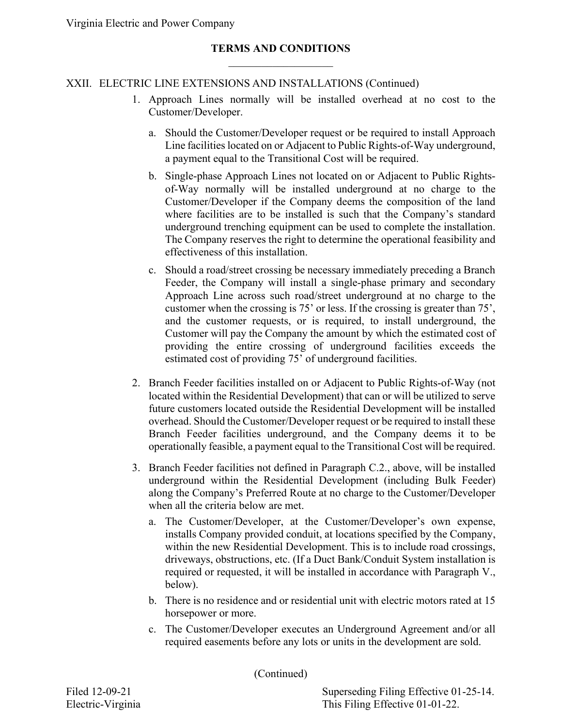### XXII. ELECTRIC LINE EXTENSIONS AND INSTALLATIONS (Continued)

- 1. Approach Lines normally will be installed overhead at no cost to the Customer/Developer.
	- a. Should the Customer/Developer request or be required to install Approach Line facilities located on or Adjacent to Public Rights-of-Way underground, a payment equal to the Transitional Cost will be required.
	- b. Single-phase Approach Lines not located on or Adjacent to Public Rightsof-Way normally will be installed underground at no charge to the Customer/Developer if the Company deems the composition of the land where facilities are to be installed is such that the Company's standard underground trenching equipment can be used to complete the installation. The Company reserves the right to determine the operational feasibility and effectiveness of this installation.
	- c. Should a road/street crossing be necessary immediately preceding a Branch Feeder, the Company will install a single-phase primary and secondary Approach Line across such road/street underground at no charge to the customer when the crossing is 75' or less. If the crossing is greater than 75', and the customer requests, or is required, to install underground, the Customer will pay the Company the amount by which the estimated cost of providing the entire crossing of underground facilities exceeds the estimated cost of providing 75' of underground facilities.
- 2. Branch Feeder facilities installed on or Adjacent to Public Rights-of-Way (not located within the Residential Development) that can or will be utilized to serve future customers located outside the Residential Development will be installed overhead. Should the Customer/Developer request or be required to install these Branch Feeder facilities underground, and the Company deems it to be operationally feasible, a payment equal to the Transitional Cost will be required.
- 3. Branch Feeder facilities not defined in Paragraph C.2., above, will be installed underground within the Residential Development (including Bulk Feeder) along the Company's Preferred Route at no charge to the Customer/Developer when all the criteria below are met.
	- a. The Customer/Developer, at the Customer/Developer's own expense, installs Company provided conduit, at locations specified by the Company, within the new Residential Development. This is to include road crossings, driveways, obstructions, etc. (If a Duct Bank/Conduit System installation is required or requested, it will be installed in accordance with Paragraph V., below).
	- b. There is no residence and or residential unit with electric motors rated at 15 horsepower or more.
	- c. The Customer/Developer executes an Underground Agreement and/or all required easements before any lots or units in the development are sold.

(Continued)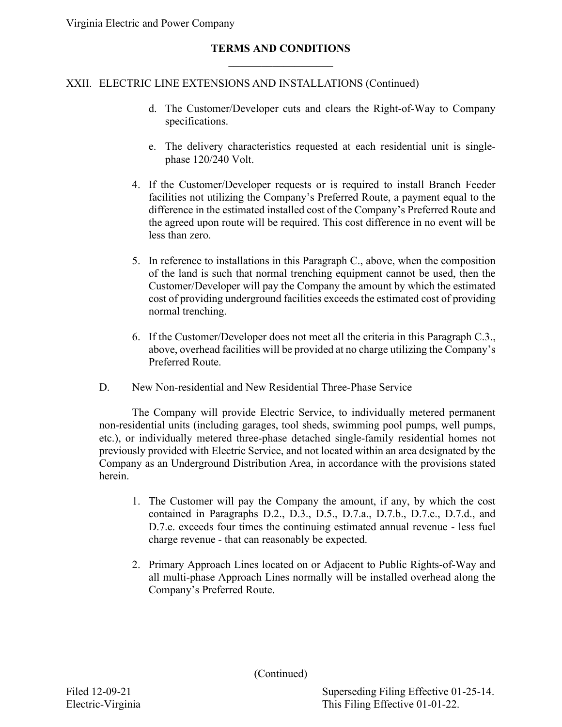Virginia Electric and Power Company

#### **TERMS AND CONDITIONS**  $\mathcal{L}_\text{max}$  , where  $\mathcal{L}_\text{max}$

#### XXII. ELECTRIC LINE EXTENSIONS AND INSTALLATIONS (Continued)

- d. The Customer/Developer cuts and clears the Right-of-Way to Company specifications.
- e. The delivery characteristics requested at each residential unit is singlephase 120/240 Volt.
- 4. If the Customer/Developer requests or is required to install Branch Feeder facilities not utilizing the Company's Preferred Route, a payment equal to the difference in the estimated installed cost of the Company's Preferred Route and the agreed upon route will be required. This cost difference in no event will be less than zero.
- 5. In reference to installations in this Paragraph C., above, when the composition of the land is such that normal trenching equipment cannot be used, then the Customer/Developer will pay the Company the amount by which the estimated cost of providing underground facilities exceeds the estimated cost of providing normal trenching.
- 6. If the Customer/Developer does not meet all the criteria in this Paragraph C.3., above, overhead facilities will be provided at no charge utilizing the Company's Preferred Route.
- D. New Non-residential and New Residential Three-Phase Service

The Company will provide Electric Service, to individually metered permanent non-residential units (including garages, tool sheds, swimming pool pumps, well pumps, etc.), or individually metered three-phase detached single-family residential homes not previously provided with Electric Service, and not located within an area designated by the Company as an Underground Distribution Area, in accordance with the provisions stated herein.

- 1. The Customer will pay the Company the amount, if any, by which the cost contained in Paragraphs D.2., D.3., D.5., D.7.a., D.7.b., D.7.c., D.7.d., and D.7.e. exceeds four times the continuing estimated annual revenue - less fuel charge revenue - that can reasonably be expected.
- 2. Primary Approach Lines located on or Adjacent to Public Rights-of-Way and all multi-phase Approach Lines normally will be installed overhead along the Company's Preferred Route.

(Continued)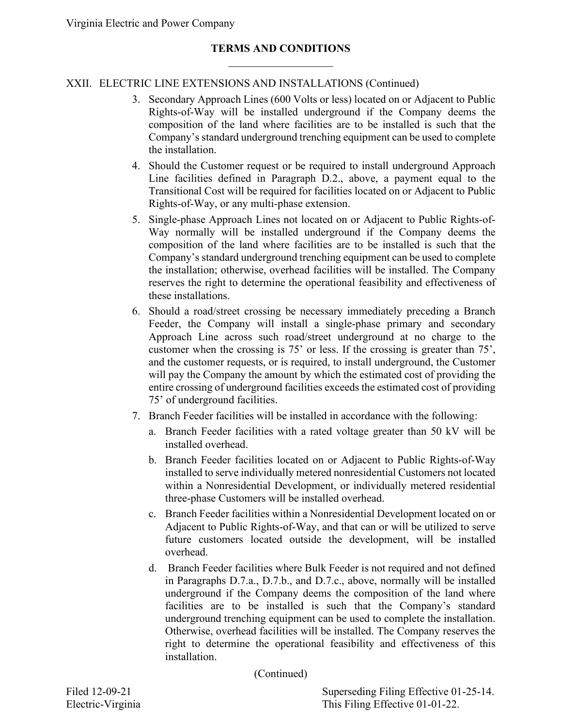# XXII. ELECTRIC LINE EXTENSIONS AND INSTALLATIONS (Continued)

- 3. Secondary Approach Lines (600 Volts or less) located on or Adjacent to Public Rights-of-Way will be installed underground if the Company deems the composition of the land where facilities are to be installed is such that the Company's standard underground trenching equipment can be used to complete the installation.
- 4. Should the Customer request or be required to install underground Approach Line facilities defined in Paragraph D.2., above, a payment equal to the Transitional Cost will be required for facilities located on or Adjacent to Public Rights-of-Way, or any multi-phase extension.
- 5. Single-phase Approach Lines not located on or Adjacent to Public Rights-of-Way normally will be installed underground if the Company deems the composition of the land where facilities are to be installed is such that the Company's standard underground trenching equipment can be used to complete the installation; otherwise, overhead facilities will be installed. The Company reserves the right to determine the operational feasibility and effectiveness of these installations.
- 6. Should a road/street crossing be necessary immediately preceding a Branch Feeder, the Company will install a single-phase primary and secondary Approach Line across such road/street underground at no charge to the customer when the crossing is 75' or less. If the crossing is greater than 75', and the customer requests, or is required, to install underground, the Customer will pay the Company the amount by which the estimated cost of providing the entire crossing of underground facilities exceeds the estimated cost of providing 75' of underground facilities.
- 7. Branch Feeder facilities will be installed in accordance with the following:
	- a. Branch Feeder facilities with a rated voltage greater than 50 kV will be installed overhead.
	- b. Branch Feeder facilities located on or Adjacent to Public Rights-of-Way installed to serve individually metered nonresidential Customers not located within a Nonresidential Development, or individually metered residential three-phase Customers will be installed overhead.
	- c. Branch Feeder facilities within a Nonresidential Development located on or Adjacent to Public Rights-of-Way, and that can or will be utilized to serve future customers located outside the development, will be installed overhead.
	- d. Branch Feeder facilities where Bulk Feeder is not required and not defined in Paragraphs D.7.a., D.7.b., and D.7.c., above, normally will be installed underground if the Company deems the composition of the land where facilities are to be installed is such that the Company's standard underground trenching equipment can be used to complete the installation. Otherwise, overhead facilities will be installed. The Company reserves the right to determine the operational feasibility and effectiveness of this installation.

(Continued)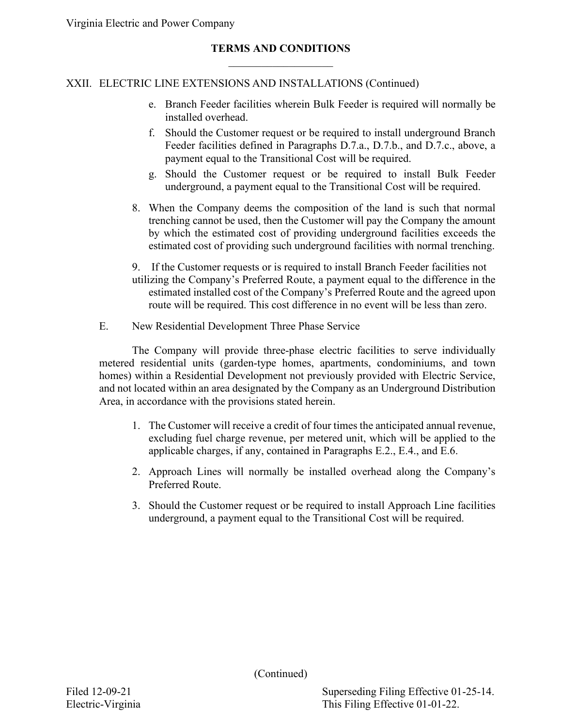# XXII. ELECTRIC LINE EXTENSIONS AND INSTALLATIONS (Continued)

- e. Branch Feeder facilities wherein Bulk Feeder is required will normally be installed overhead.
- f. Should the Customer request or be required to install underground Branch Feeder facilities defined in Paragraphs D.7.a., D.7.b., and D.7.c., above, a payment equal to the Transitional Cost will be required.
- g. Should the Customer request or be required to install Bulk Feeder underground, a payment equal to the Transitional Cost will be required.
- 8. When the Company deems the composition of the land is such that normal trenching cannot be used, then the Customer will pay the Company the amount by which the estimated cost of providing underground facilities exceeds the estimated cost of providing such underground facilities with normal trenching.

9. If the Customer requests or is required to install Branch Feeder facilities not utilizing the Company's Preferred Route, a payment equal to the difference in the estimated installed cost of the Company's Preferred Route and the agreed upon route will be required. This cost difference in no event will be less than zero.

E. New Residential Development Three Phase Service

The Company will provide three-phase electric facilities to serve individually metered residential units (garden-type homes, apartments, condominiums, and town homes) within a Residential Development not previously provided with Electric Service, and not located within an area designated by the Company as an Underground Distribution Area, in accordance with the provisions stated herein.

- 1. The Customer will receive a credit of four times the anticipated annual revenue, excluding fuel charge revenue, per metered unit, which will be applied to the applicable charges, if any, contained in Paragraphs E.2., E.4., and E.6.
- 2. Approach Lines will normally be installed overhead along the Company's Preferred Route.
- 3. Should the Customer request or be required to install Approach Line facilities underground, a payment equal to the Transitional Cost will be required.

(Continued)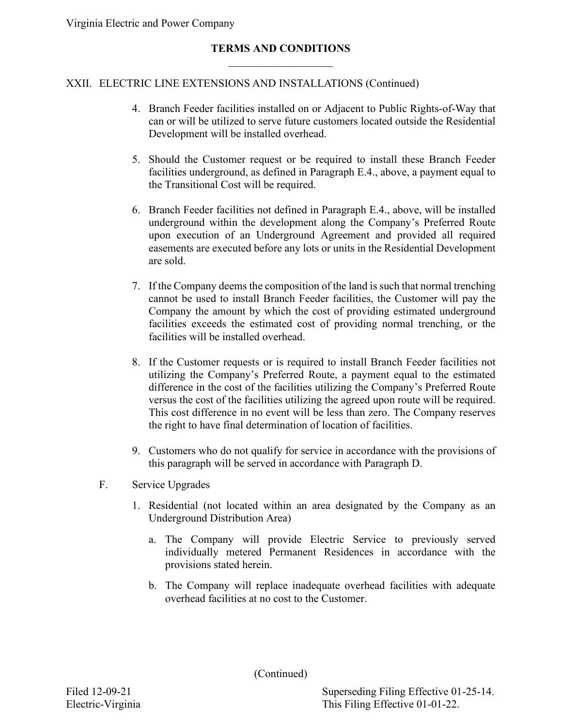# XXII. ELECTRIC LINE EXTENSIONS AND INSTALLATIONS (Continued)

- 4. Branch Feeder facilities installed on or Adjacent to Public Rights-of-Way that can or will be utilized to serve future customers located outside the Residential Development will be installed overhead.
- 5. Should the Customer request or be required to install these Branch Feeder facilities underground, as defined in Paragraph E.4., above, a payment equal to the Transitional Cost will be required.
- 6. Branch Feeder facilities not defined in Paragraph E.4., above, will be installed underground within the development along the Company's Preferred Route upon execution of an Underground Agreement and provided all required easements are executed before any lots or units in the Residential Development are sold.
- 7. If the Company deems the composition of the land is such that normal trenching cannot be used to install Branch Feeder facilities, the Customer will pay the Company the amount by which the cost of providing estimated underground facilities exceeds the estimated cost of providing normal trenching, or the facilities will be installed overhead.
- 8. If the Customer requests or is required to install Branch Feeder facilities not utilizing the Company's Preferred Route, a payment equal to the estimated difference in the cost of the facilities utilizing the Company's Preferred Route versus the cost of the facilities utilizing the agreed upon route will be required. This cost difference in no event will be less than zero. The Company reserves the right to have final determination of location of facilities.
- 9. Customers who do not qualify for service in accordance with the provisions of this paragraph will be served in accordance with Paragraph D.
- F. Service Upgrades
	- 1. Residential (not located within an area designated by the Company as an Underground Distribution Area)
		- a. The Company will provide Electric Service to previously served individually metered Permanent Residences in accordance with the provisions stated herein.
		- b. The Company will replace inadequate overhead facilities with adequate overhead facilities at no cost to the Customer.

(Continued)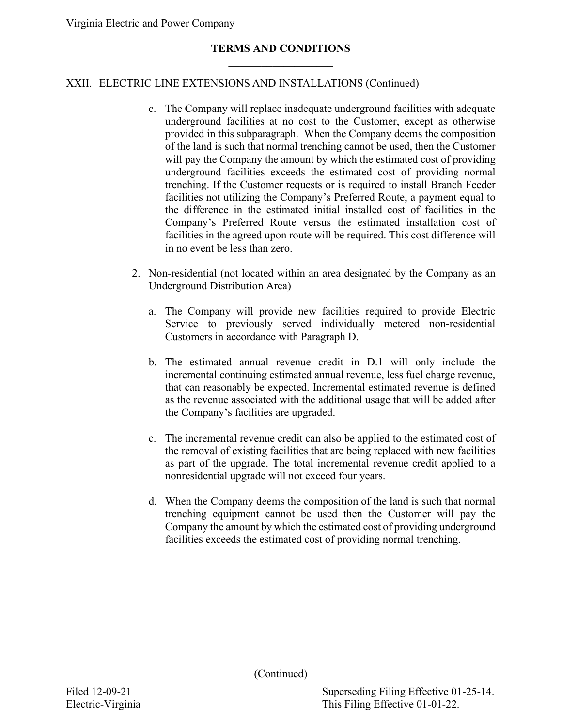### XXII. ELECTRIC LINE EXTENSIONS AND INSTALLATIONS (Continued)

- c. The Company will replace inadequate underground facilities with adequate underground facilities at no cost to the Customer, except as otherwise provided in this subparagraph. When the Company deems the composition of the land is such that normal trenching cannot be used, then the Customer will pay the Company the amount by which the estimated cost of providing underground facilities exceeds the estimated cost of providing normal trenching. If the Customer requests or is required to install Branch Feeder facilities not utilizing the Company's Preferred Route, a payment equal to the difference in the estimated initial installed cost of facilities in the Company's Preferred Route versus the estimated installation cost of facilities in the agreed upon route will be required. This cost difference will in no event be less than zero.
- 2. Non-residential (not located within an area designated by the Company as an Underground Distribution Area)
	- a. The Company will provide new facilities required to provide Electric Service to previously served individually metered non-residential Customers in accordance with Paragraph D.
	- b. The estimated annual revenue credit in D.1 will only include the incremental continuing estimated annual revenue, less fuel charge revenue, that can reasonably be expected. Incremental estimated revenue is defined as the revenue associated with the additional usage that will be added after the Company's facilities are upgraded.
	- c. The incremental revenue credit can also be applied to the estimated cost of the removal of existing facilities that are being replaced with new facilities as part of the upgrade. The total incremental revenue credit applied to a nonresidential upgrade will not exceed four years.
	- d. When the Company deems the composition of the land is such that normal trenching equipment cannot be used then the Customer will pay the Company the amount by which the estimated cost of providing underground facilities exceeds the estimated cost of providing normal trenching.

(Continued)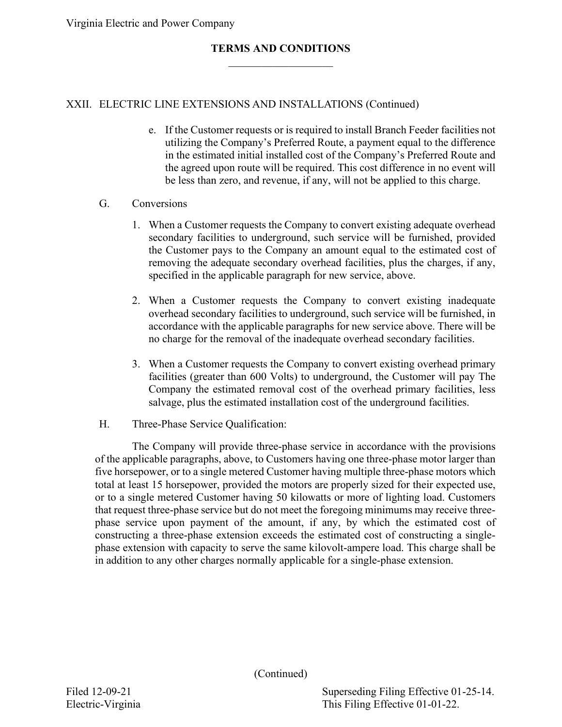### XXII. ELECTRIC LINE EXTENSIONS AND INSTALLATIONS (Continued)

e. If the Customer requests or is required to install Branch Feeder facilities not utilizing the Company's Preferred Route, a payment equal to the difference in the estimated initial installed cost of the Company's Preferred Route and the agreed upon route will be required. This cost difference in no event will be less than zero, and revenue, if any, will not be applied to this charge.

#### G. Conversions

- 1. When a Customer requests the Company to convert existing adequate overhead secondary facilities to underground, such service will be furnished, provided the Customer pays to the Company an amount equal to the estimated cost of removing the adequate secondary overhead facilities, plus the charges, if any, specified in the applicable paragraph for new service, above.
- 2. When a Customer requests the Company to convert existing inadequate overhead secondary facilities to underground, such service will be furnished, in accordance with the applicable paragraphs for new service above. There will be no charge for the removal of the inadequate overhead secondary facilities.
- 3. When a Customer requests the Company to convert existing overhead primary facilities (greater than 600 Volts) to underground, the Customer will pay The Company the estimated removal cost of the overhead primary facilities, less salvage, plus the estimated installation cost of the underground facilities.
- H. Three-Phase Service Qualification:

The Company will provide three-phase service in accordance with the provisions of the applicable paragraphs, above, to Customers having one three-phase motor larger than five horsepower, or to a single metered Customer having multiple three-phase motors which total at least 15 horsepower, provided the motors are properly sized for their expected use, or to a single metered Customer having 50 kilowatts or more of lighting load. Customers that request three-phase service but do not meet the foregoing minimums may receive threephase service upon payment of the amount, if any, by which the estimated cost of constructing a three-phase extension exceeds the estimated cost of constructing a singlephase extension with capacity to serve the same kilovolt-ampere load. This charge shall be in addition to any other charges normally applicable for a single-phase extension.

(Continued)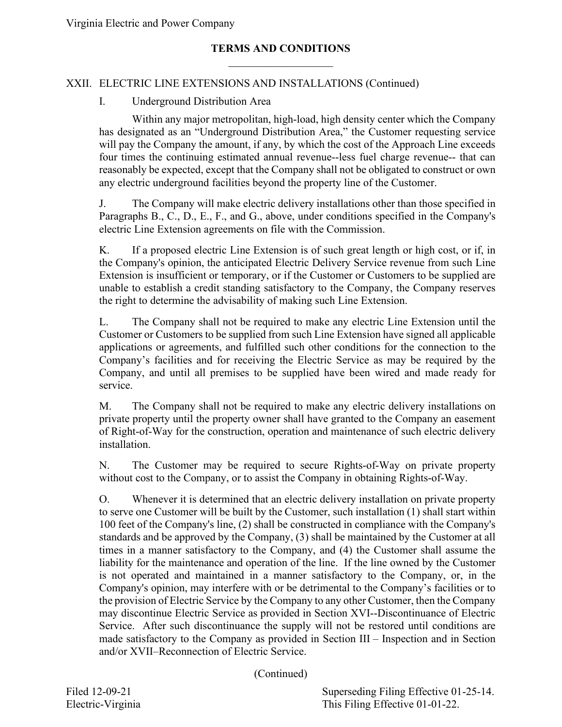# XXII. ELECTRIC LINE EXTENSIONS AND INSTALLATIONS (Continued)

#### I. Underground Distribution Area

Within any major metropolitan, high-load, high density center which the Company has designated as an "Underground Distribution Area," the Customer requesting service will pay the Company the amount, if any, by which the cost of the Approach Line exceeds four times the continuing estimated annual revenue--less fuel charge revenue-- that can reasonably be expected, except that the Company shall not be obligated to construct or own any electric underground facilities beyond the property line of the Customer.

J. The Company will make electric delivery installations other than those specified in Paragraphs B., C., D., E., F., and G., above, under conditions specified in the Company's electric Line Extension agreements on file with the Commission.

K. If a proposed electric Line Extension is of such great length or high cost, or if, in the Company's opinion, the anticipated Electric Delivery Service revenue from such Line Extension is insufficient or temporary, or if the Customer or Customers to be supplied are unable to establish a credit standing satisfactory to the Company, the Company reserves the right to determine the advisability of making such Line Extension.

L. The Company shall not be required to make any electric Line Extension until the Customer or Customers to be supplied from such Line Extension have signed all applicable applications or agreements, and fulfilled such other conditions for the connection to the Company's facilities and for receiving the Electric Service as may be required by the Company, and until all premises to be supplied have been wired and made ready for service.

M. The Company shall not be required to make any electric delivery installations on private property until the property owner shall have granted to the Company an easement of Right-of-Way for the construction, operation and maintenance of such electric delivery installation.

N. The Customer may be required to secure Rights-of-Way on private property without cost to the Company, or to assist the Company in obtaining Rights-of-Way.

O. Whenever it is determined that an electric delivery installation on private property to serve one Customer will be built by the Customer, such installation (1) shall start within 100 feet of the Company's line, (2) shall be constructed in compliance with the Company's standards and be approved by the Company, (3) shall be maintained by the Customer at all times in a manner satisfactory to the Company, and (4) the Customer shall assume the liability for the maintenance and operation of the line. If the line owned by the Customer is not operated and maintained in a manner satisfactory to the Company, or, in the Company's opinion, may interfere with or be detrimental to the Company's facilities or to the provision of Electric Service by the Company to any other Customer, then the Company may discontinue Electric Service as provided in Section XVI--Discontinuance of Electric Service. After such discontinuance the supply will not be restored until conditions are made satisfactory to the Company as provided in Section III – Inspection and in Section and/or XVII–Reconnection of Electric Service.

(Continued)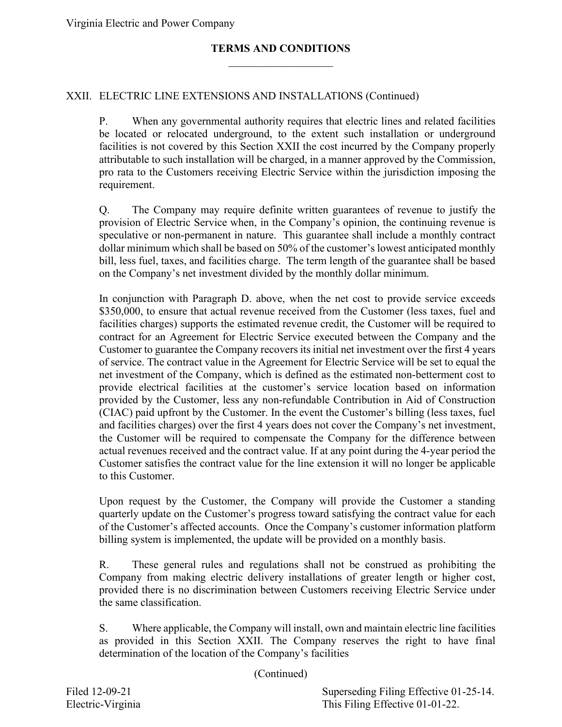### XXII. ELECTRIC LINE EXTENSIONS AND INSTALLATIONS (Continued)

P. When any governmental authority requires that electric lines and related facilities be located or relocated underground, to the extent such installation or underground facilities is not covered by this Section XXII the cost incurred by the Company properly attributable to such installation will be charged, in a manner approved by the Commission, pro rata to the Customers receiving Electric Service within the jurisdiction imposing the requirement.

Q. The Company may require definite written guarantees of revenue to justify the provision of Electric Service when, in the Company's opinion, the continuing revenue is speculative or non-permanent in nature. This guarantee shall include a monthly contract dollar minimum which shall be based on 50% of the customer's lowest anticipated monthly bill, less fuel, taxes, and facilities charge. The term length of the guarantee shall be based on the Company's net investment divided by the monthly dollar minimum.

In conjunction with Paragraph D. above, when the net cost to provide service exceeds \$350,000, to ensure that actual revenue received from the Customer (less taxes, fuel and facilities charges) supports the estimated revenue credit, the Customer will be required to contract for an Agreement for Electric Service executed between the Company and the Customer to guarantee the Company recovers its initial net investment over the first 4 years of service. The contract value in the Agreement for Electric Service will be set to equal the net investment of the Company, which is defined as the estimated non-betterment cost to provide electrical facilities at the customer's service location based on information provided by the Customer, less any non-refundable Contribution in Aid of Construction (CIAC) paid upfront by the Customer. In the event the Customer's billing (less taxes, fuel and facilities charges) over the first 4 years does not cover the Company's net investment, the Customer will be required to compensate the Company for the difference between actual revenues received and the contract value. If at any point during the 4-year period the Customer satisfies the contract value for the line extension it will no longer be applicable to this Customer.

Upon request by the Customer, the Company will provide the Customer a standing quarterly update on the Customer's progress toward satisfying the contract value for each of the Customer's affected accounts. Once the Company's customer information platform billing system is implemented, the update will be provided on a monthly basis.

R. These general rules and regulations shall not be construed as prohibiting the Company from making electric delivery installations of greater length or higher cost, provided there is no discrimination between Customers receiving Electric Service under the same classification.

S. Where applicable, the Company will install, own and maintain electric line facilities as provided in this Section XXII. The Company reserves the right to have final determination of the location of the Company's facilities

(Continued)